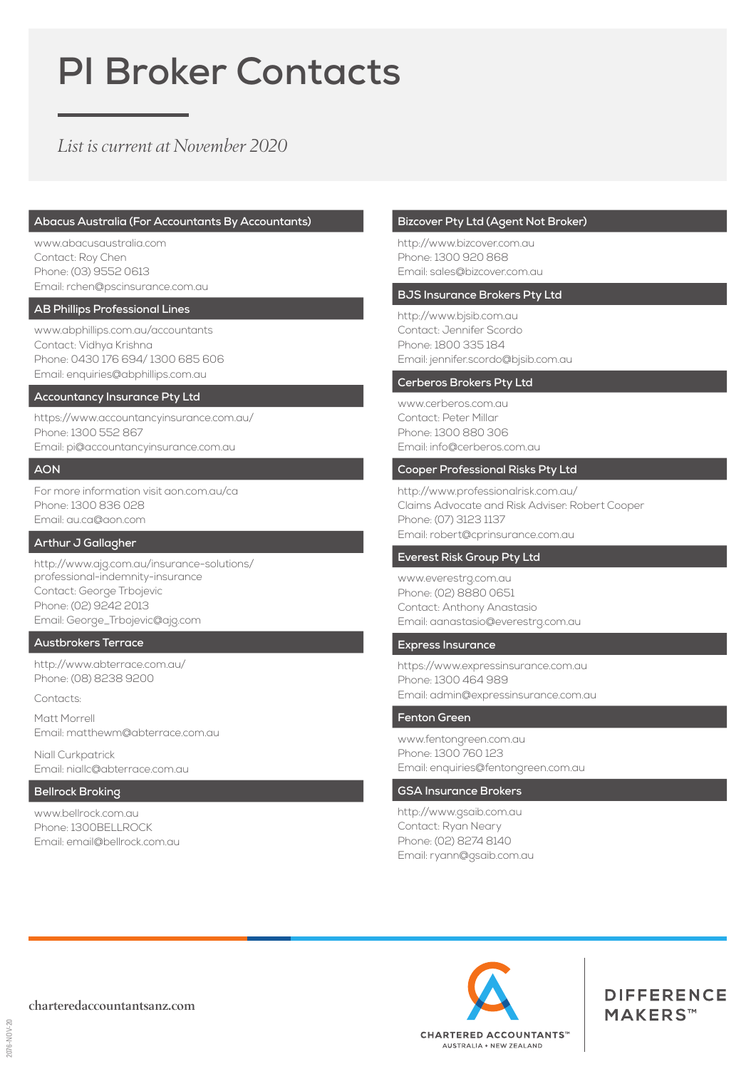# **PI Broker Contacts**

# *List is current at November 2020*

#### **Abacus Australia (For Accountants By Accountants)**

www.abacusaustralia.com Contact: Roy Chen Phone: (03) 9552 0613 Email: rchen@pscinsurance.com.au

#### **AB Phillips Professional Lines**

www.abphillips.com.au/accountants Contact: Vidhya Krishna Phone: 0430 176 694/ 1300 685 606 Email: enquiries@abphillips.com.au

## **Accountancy Insurance Pty Ltd**

https://www.accountancyinsurance.com.au/ Phone: 1300 552 867 Email: pi@accountancyinsurance.com.au

#### **AON**

For more information visit aon.com.au/ca Phone: 1300 836 028 Email: au.ca@aon.com

#### **Arthur J Gallagher**

http://www.ajg.com.au/insurance-solutions/ professional-indemnity-insurance Contact: George Trbojevic Phone: (02) 9242 2013 Email: George\_Trbojevic@ajg.com

#### **Austbrokers Terrace**

http://www.abterrace.com.au/ Phone: (08) 8238 9200

**Contacts:** 

Matt Morrell Email: matthewm@abterrace.com.au

Niall Curkpatrick Email: niallc@abterrace.com.au

# **Bellrock Broking**

www.bellrock.com.au Phone: 1300BELLROCK Email: email@bellrock.com.au

# **Bizcover Pty Ltd (Agent Not Broker)**

http://www.bizcover.com.au Phone: 1300 920 868 Email: sales@bizcover.com.au

#### **BJS Insurance Brokers Pty Ltd**

http://www.bjsib.com.au Contact: Jennifer Scordo Phone: 1800 335 184 Email: jennifer.scordo@bjsib.com.au

#### **Cerberos Brokers Pty Ltd**

www.cerberos.com.au Contact: Peter Millar Phone: 1300 880 306 Email: info@cerberos.com.au

#### **Cooper Professional Risks Pty Ltd**

http://www.professionalrisk.com.au/ Claims Advocate and Risk Adviser: Robert Cooper Phone: (07) 3123 1137 Email: robert@cprinsurance.com.au

#### **Everest Risk Group Pty Ltd**

www.everestrg.com.au Phone: (02) 8880 0651 Contact: Anthony Anastasio Email: aanastasio@everestrg.com.au

# **Express Insurance**

https://www.expressinsurance.com.au Phone: 1300 464 989 Email: admin@expressinsurance.com.au

## **Fenton Green**

www.fentongreen.com.au Phone: 1300 760 123 Email: enquiries@fentongreen.com.au

# **GSA Insurance Brokers**

http://www.gsaib.com.au Contact: Ryan Neary Phone: (02) 8274 8140 Email: ryann@gsaib.com.au



**DIFFERENCE** MAKERS™